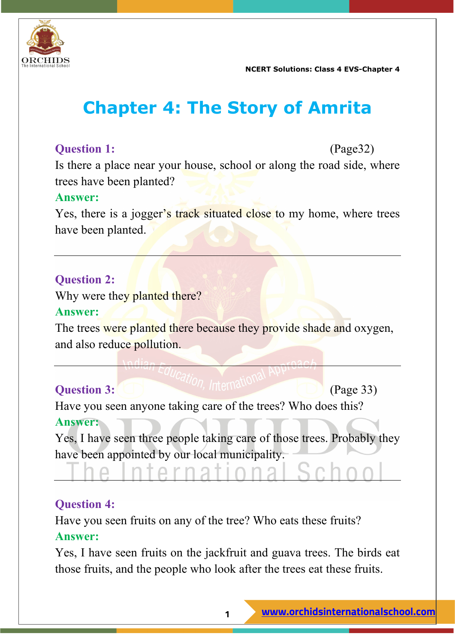

# **Chapter 4: The Story of Amrita**

# **Question 1:** (Page32)

Is there a place near your house, school or along the road side, where trees have been planted?

#### **Answer:**

Yes, there is a jogger's track situated close to my home, where trees have been planted.

# **Question 2:**

Why were they planted there?

#### **Answer:**

The trees were planted there because they provide shade and oxygen, and also reduce pollution.

# **Question 3:** (a) **C**  $\left( \frac{1}{2} \right)$  (Page 33)

Have you seen anyone taking care of the trees? Who does this? **Answer:**

Yes, I have seen three people taking care of those trees. Probably they have been appointed by our local municipality.

#### **Question 4:**

Have you seen fruits on any of the tree? Who eats these fruits? **Answer:**

**Arna** 

Yes, I have seen fruits on the jackfruit and guava trees. The birds eat those fruits, and the people who look after the trees eat these fruits.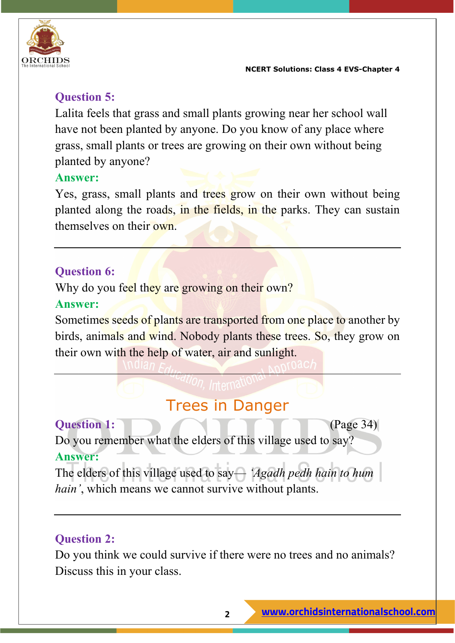

# **Question 5:**

Lalita feels that grass and small plants growing near her school wall have not been planted by anyone. Do you know of any place where grass, small plants or trees are growing on their own without being planted by anyone?

#### **Answer:**

Yes, grass, small plants and trees grow on their own without being planted along the roads, in the fields, in the parks. They can sustain themselves on their own.

# **Question 6:**

Why do you feel they are growing on their own?

#### **Answer:**

Sometimes seeds of plants are transported from one place to another by birds, animals and wind. Nobody plants these trees. So, they grow on their own with the help of water, air and sunlight.

Trees in Danger

**Question 1:** (Page 34) Do you remember what the elders of this village used to say? **Answer:**

The elders of this village used to say— *'Agadh pedh hain to hum hain'*, which means we cannot survive without plants.

# **Question 2:**

Do you think we could survive if there were no trees and no animals? Discuss this in your class.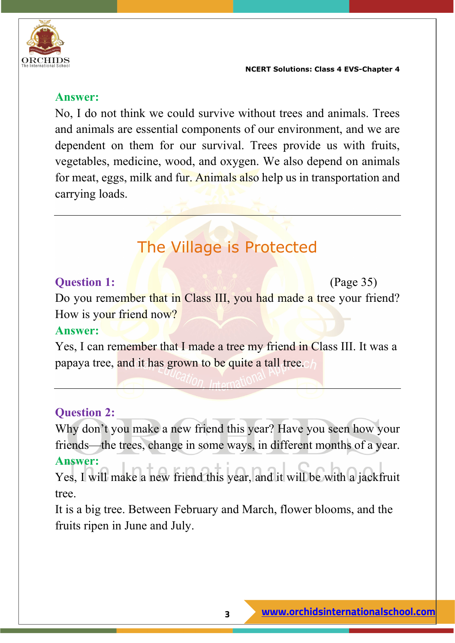

#### **Answer:**

No, I do not think we could survive without trees and animals. Trees and animals are essential components of our environment, and we are dependent on them for our survival. Trees provide us with fruits, vegetables, medicine, wood, and oxygen. We also depend on animals for meat, eggs, milk and fur. Animals also help us in transportation and carrying loads.

# The Village is Protected

#### **Question 1:** (Page 35)

Do you remember that in Class III, you had made a tree your friend? How is your friend now?

#### **Answer:**

Yes, I can remember that I made a tree my friend in Class III. It was a papaya tree, and it has grown to be quite a tall tree.

#### **Question 2:**

Why don't you make a new friend this year? Have you seen how your friends—the trees, change in some ways, in different months of a year.

#### **Answer:**

Yes, I will make a new friend this year, and it will be with a jackfruit tree.

It is a big tree. Between February and March, flower blooms, and the fruits ripen in June and July.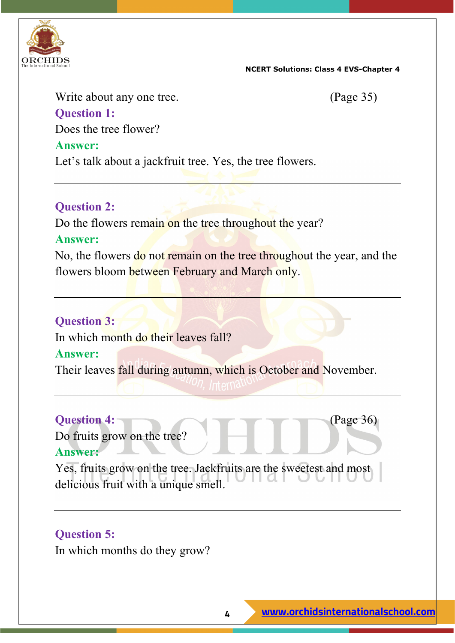

Write about any one tree. (Page 35) **Question 1:**

Does the tree flower?

Let's talk about a jackfruit tree. Yes, the tree flowers.

#### **Question 2:**

Do the flowers remain on the tree throughout the year?

#### **Answer:**

**Answer:**

No, the flowers do not remain on the tree throughout the year, and the flowers bloom between February and March only.

#### **Question 3:**

In which month do their leaves fall?

#### **Answer:**

Their leaves fall during autumn, which is October and November.

Do fruits grow on the tree?

**Question 4:** (Page 36)

#### **Answer:**

Yes, fruits grow on the tree. Jackfruits are the sweetest and most delicious fruit with a unique smell.

#### **Question 5:**

In which months do they grow?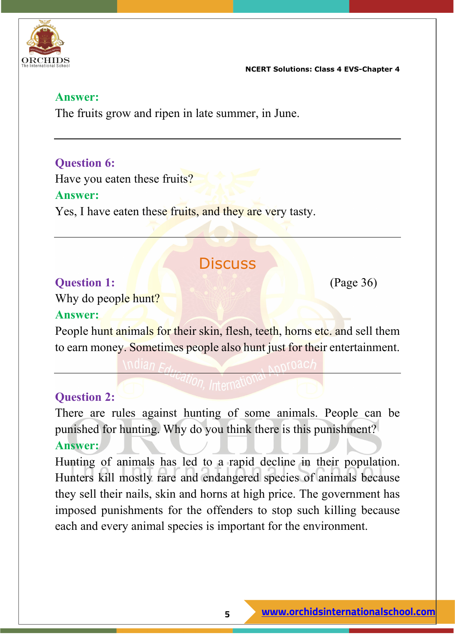

#### **Answer:**

The fruits grow and ripen in late summer, in June.

# **Question 6:**

Have you eaten these fruits?

#### **Answer:**

Yes, I have eaten these fruits, and they are very tasty.

# **Discuss**

#### **Question 1:** (Page 36)

Why do people hunt?

#### **Answer:**

People hunt animals for their skin, flesh, teeth, horns etc. and sell them to earn money. Sometimes people also hunt just for their entertainment.

# **Question 2:**

There are rules against hunting of some animals. People can be punished for hunting. Why do you think there is this punishment? **Answer:**

Hunting of animals has led to a rapid decline in their population. Hunters kill mostly rare and endangered species of animals because they sell their nails, skin and horns at high price. The government has imposed punishments for the offenders to stop such killing because each and every animal species is important for the environment.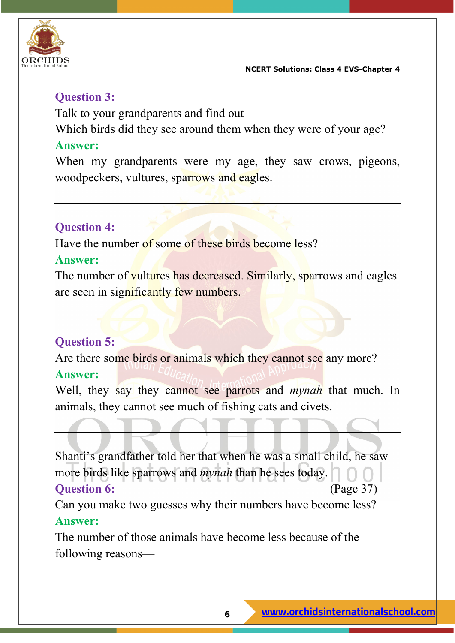

### **Question 3:**

Talk to your grandparents and find out—

Which birds did they see around them when they were of your age?

#### **Answer:**

When my grandparents were my age, they saw crows, pigeons, woodpeckers, vultures, sparrows and eagles.

# **Question 4:**

Have the number of some of these birds become less?

#### **Answer:**

The number of vultures has decreased. Similarly, sparrows and eagles are seen in significantly few numbers.

# **Question 5:**

Are there some birds or animals which they cannot see any more? **Answer:**

Well, they say they cannot see parrots and *mynah* that much. In animals, they cannot see much of fishing cats and civets.

Shanti's grandfather told her that when he was a small child, he saw more birds like sparrows and *mynah* than he sees today.

#### **Ouestion 6:** (Page 37)

Can you make two guesses why their numbers have become less? **Answer:**

The number of those animals have become less because of the following reasons—